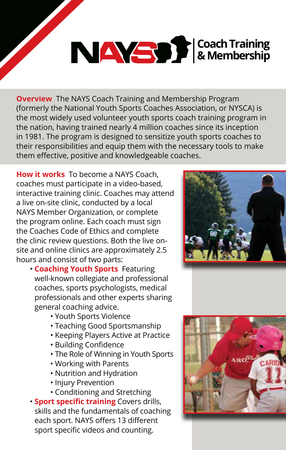# **Coach Training & Membership**

**Overview** The NAYS Coach Training and Membership Program (formerly the National Youth Sports Coaches Association, or NYSCA) is the most widely used volunteer youth sports coach training program in the nation, having trained nearly 4 million coaches since its inception in 1981. The program is designed to sensitize youth sports coaches to their responsibilities and equip them with the necessary tools to make them effective, positive and knowledgeable coaches.

**How it works** To become a NAYS Coach, coaches must participate in a video-based, interactive training clinic. Coaches may attend a live on-site clinic, conducted by a local NAYS Member Organization, or complete the program online. Each coach must sign the Coaches Code of Ethics and complete the clinic review questions. Both the live onsite and online clinics are approximately 2.5 hours and consist of two parts:

- **Coaching Youth Sports** Featuring well-known collegiate and professional coaches, sports psychologists, medical professionals and other experts sharing general coaching advice.
	- Youth Sports Violence
	- Teaching Good Sportsmanship
	- Keeping Players Active at Practice
	- Building Confidence
	- The Role of Winning in Youth Sports
	- Working with Parents
	- Nutrition and Hydration
	- Injury Prevention
	- Conditioning and Stretching
- **Sport specific training** Covers drills, skills and the fundamentals of coaching each sport. NAYS offers 13 different sport specific videos and counting.



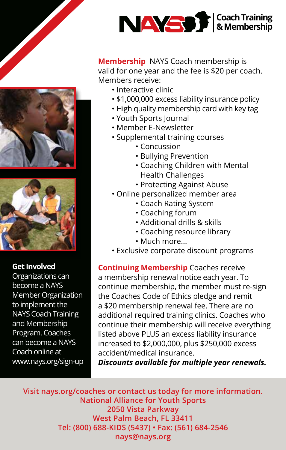

**Membership** NAYS Coach membership is valid for one year and the fee is \$20 per coach. Members receive:

- Interactive clinic
- \$1,000,000 excess liability insurance policy
- High quality membership card with key tag
- Youth Sports Journal
- Member E-Newsletter
- Supplemental training courses
	- Concussion
	- Bullying Prevention
	- Coaching Children with Mental Health Challenges
	- Protecting Against Abuse
- Online personalized member area
	- Coach Rating System
	- Coaching forum
	- Additional drills & skills
	- Coaching resource library
	- Much more...
- Exclusive corporate discount programs

**Continuing Membership** Coaches receive a membership renewal notice each year. To continue membership, the member must re-sign the Coaches Code of Ethics pledge and remit a \$20 membership renewal fee. There are no additional required training clinics. Coaches who continue their membership will receive everything listed above PLUS an excess liability insurance increased to \$2,000,000, plus \$250,000 excess accident/medical insurance.

*Discounts available for multiple year renewals.*

**Visit nays.org/coaches or contact us today for more information. National Alliance for Youth Sports 2050 Vista Parkway West Palm Beach, FL 33411 Tel: (800) 688-KIDS (5437) • Fax: (561) 684-2546 nays@nays.org** 





### **Get Involved**

Organizations can become a NAYS Member Organization to implement the NAYS Coach Training and Membership Program. Coaches can become a NAYS Coach online at www.nays.org/sign-up